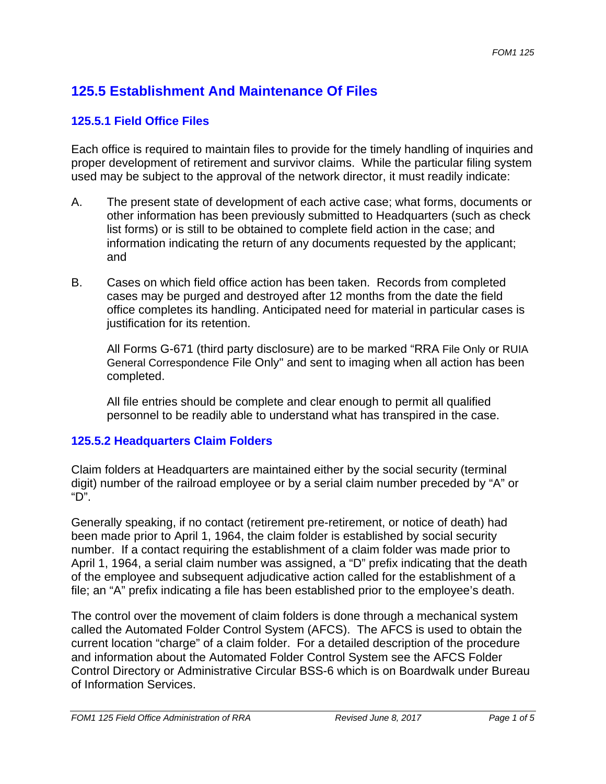## **125.5 Establishment And Maintenance Of Files**

#### **125.5.1 Field Office Files**

Each office is required to maintain files to provide for the timely handling of inquiries and proper development of retirement and survivor claims. While the particular filing system used may be subject to the approval of the network director, it must readily indicate:

- A. The present state of development of each active case; what forms, documents or other information has been previously submitted to Headquarters (such as check list forms) or is still to be obtained to complete field action in the case; and information indicating the return of any documents requested by the applicant; and
- B. Cases on which field office action has been taken. Records from completed cases may be purged and destroyed after 12 months from the date the field office completes its handling. Anticipated need for material in particular cases is justification for its retention.

All Forms G-671 (third party disclosure) are to be marked "RRA File Only or RUIA General Correspondence File Only" and sent to imaging when all action has been completed.

All file entries should be complete and clear enough to permit all qualified personnel to be readily able to understand what has transpired in the case.

#### **125.5.2 Headquarters Claim Folders**

Claim folders at Headquarters are maintained either by the social security (terminal digit) number of the railroad employee or by a serial claim number preceded by "A" or "D".

Generally speaking, if no contact (retirement pre-retirement, or notice of death) had been made prior to April 1, 1964, the claim folder is established by social security number. If a contact requiring the establishment of a claim folder was made prior to April 1, 1964, a serial claim number was assigned, a "D" prefix indicating that the death of the employee and subsequent adjudicative action called for the establishment of a file; an "A" prefix indicating a file has been established prior to the employee's death.

The control over the movement of claim folders is done through a mechanical system called the Automated Folder Control System (AFCS). The AFCS is used to obtain the current location "charge" of a claim folder. For a detailed description of the procedure and information about the Automated Folder Control System see the AFCS Folder Control Directory or Administrative Circular BSS-6 which is on Boardwalk under Bureau of Information Services.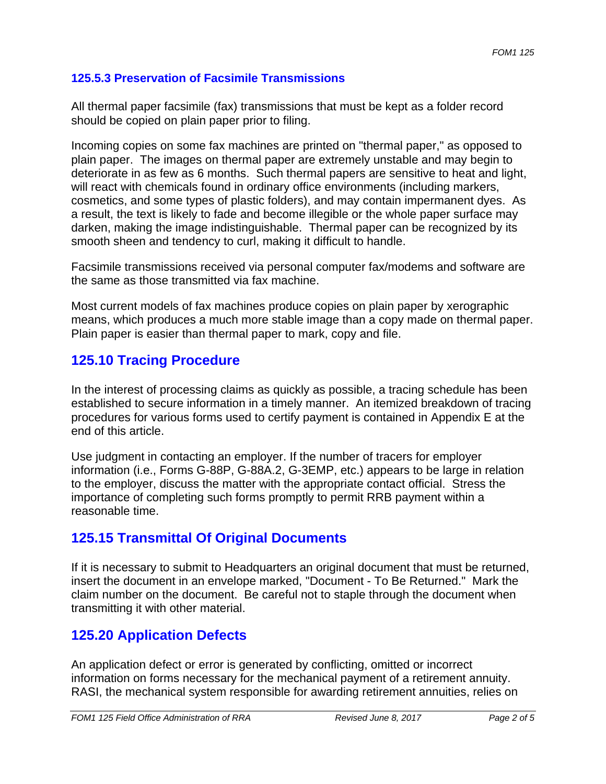#### **125.5.3 Preservation of Facsimile Transmissions**

All thermal paper facsimile (fax) transmissions that must be kept as a folder record should be copied on plain paper prior to filing.

Incoming copies on some fax machines are printed on "thermal paper," as opposed to plain paper. The images on thermal paper are extremely unstable and may begin to deteriorate in as few as 6 months. Such thermal papers are sensitive to heat and light, will react with chemicals found in ordinary office environments (including markers, cosmetics, and some types of plastic folders), and may contain impermanent dyes. As a result, the text is likely to fade and become illegible or the whole paper surface may darken, making the image indistinguishable. Thermal paper can be recognized by its smooth sheen and tendency to curl, making it difficult to handle.

Facsimile transmissions received via personal computer fax/modems and software are the same as those transmitted via fax machine.

Most current models of fax machines produce copies on plain paper by xerographic means, which produces a much more stable image than a copy made on thermal paper. Plain paper is easier than thermal paper to mark, copy and file.

## **125.10 Tracing Procedure**

In the interest of processing claims as quickly as possible, a tracing schedule has been established to secure information in a timely manner. An itemized breakdown of tracing procedures for various forms used to certify payment is contained in Appendix E at the end of this article.

Use judgment in contacting an employer. If the number of tracers for employer information (i.e., Forms G-88P, G-88A.2, G-3EMP, etc.) appears to be large in relation to the employer, discuss the matter with the appropriate contact official. Stress the importance of completing such forms promptly to permit RRB payment within a reasonable time.

### **125.15 Transmittal Of Original Documents**

If it is necessary to submit to Headquarters an original document that must be returned, insert the document in an envelope marked, "Document - To Be Returned." Mark the claim number on the document. Be careful not to staple through the document when transmitting it with other material.

# **125.20 Application Defects**

An application defect or error is generated by conflicting, omitted or incorrect information on forms necessary for the mechanical payment of a retirement annuity. RASI, the mechanical system responsible for awarding retirement annuities, relies on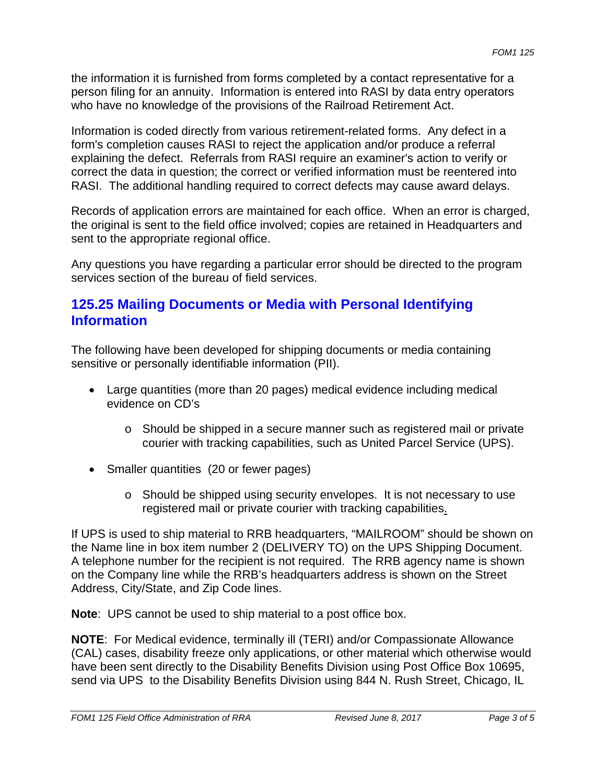the information it is furnished from forms completed by a contact representative for a person filing for an annuity. Information is entered into RASI by data entry operators who have no knowledge of the provisions of the Railroad Retirement Act.

Information is coded directly from various retirement-related forms. Any defect in a form's completion causes RASI to reject the application and/or produce a referral explaining the defect. Referrals from RASI require an examiner's action to verify or correct the data in question; the correct or verified information must be reentered into RASI. The additional handling required to correct defects may cause award delays.

Records of application errors are maintained for each office. When an error is charged, the original is sent to the field office involved; copies are retained in Headquarters and sent to the appropriate regional office.

Any questions you have regarding a particular error should be directed to the program services section of the bureau of field services.

#### **125.25 Mailing Documents or Media with Personal Identifying Information**

The following have been developed for shipping documents or media containing sensitive or personally identifiable information (PII).

- Large quantities (more than 20 pages) medical evidence including medical evidence on CD's
	- o Should be shipped in a secure manner such as registered mail or private courier with tracking capabilities, such as United Parcel Service (UPS).
- Smaller quantities (20 or fewer pages)
	- $\circ$  Should be shipped using security envelopes. It is not necessary to use registered mail or private courier with tracking capabilities.

If UPS is used to ship material to RRB headquarters, "MAILROOM" should be shown on the Name line in box item number 2 (DELIVERY TO) on the UPS Shipping Document. A telephone number for the recipient is not required. The RRB agency name is shown on the Company line while the RRB's headquarters address is shown on the Street Address, City/State, and Zip Code lines.

 **Note**: UPS cannot be used to ship material to a post office box.

**NOTE**: For Medical evidence, terminally ill (TERI) and/or Compassionate Allowance (CAL) cases, disability freeze only applications, or other material which otherwise would have been sent directly to the Disability Benefits Division using Post Office Box 10695, send via UPS to the Disability Benefits Division using 844 N. Rush Street, Chicago, IL